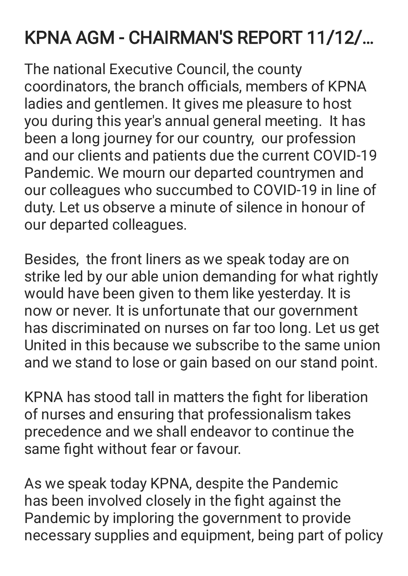## KPNA AGM - CHAIRMAN'S REPORT 11/12/…

The national Executive Council, the county coordinators, the branch officials, members of KPNA ladies and gentlemen. It gives me pleasure to host you during this year's annual general meeting. It has been a long journey for our country, our profession and our clients and patients due the current COVID-19 Pandemic. We mourn our departed countrymen and our colleagues who succumbed to COVID-19 in line of duty. Let us observe a minute of silence in honour of our departed colleagues.

Besides, the front liners as we speak today are on strike led by our able union demanding for what rightly would have been given to them like yesterday. It is now or never. It is unfortunate that our government has discriminated on nurses on far too long. Let us get United in this because we subscribe to the same union and we stand to lose or gain based on our stand point.

KPNA has stood tall in matters the fight for liberation of nurses and ensuring that professionalism takes precedence and we shall endeavor to continue the same fight without fear or favour.

As we speak today KPNA, despite the Pandemic has been involved closely in the fight against the Pandemic by imploring the government to provide necessary supplies and equipment, being part of policy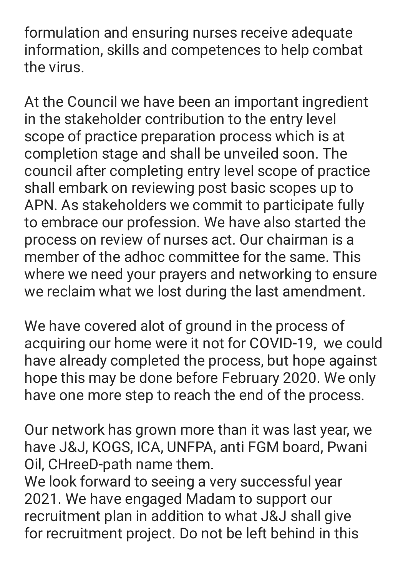formulation and ensuring nurses receive adequate information, skills and competences to help combat the virus.

At the Council we have been an important ingredient in the stakeholder contribution to the entry level scope of practice preparation process which is at completion stage and shall be unveiled soon. The council after completing entry level scope of practice shall embark on reviewing post basic scopes up to APN. As stakeholders we commit to participate fully to embrace our profession. We have also started the process on review of nurses act. Our chairman is a member of the adhoc committee for the same. This where we need your prayers and networking to ensure we reclaim what we lost during the last amendment.

We have covered alot of ground in the process of acquiring our home were it not for COVID-19, we could have already completed the process, but hope against hope this may be done before February 2020. We only have one more step to reach the end of the process.

Our network has grown more than it was last year, we have J&J, KOGS, ICA, UNFPA, anti FGM board, Pwani Oil, CHreeD-path name them.

We look forward to seeing a very successful year 2021. We have engaged Madam to support our recruitment plan in addition to what J&J shall give for recruitment project. Do not be left behind in this